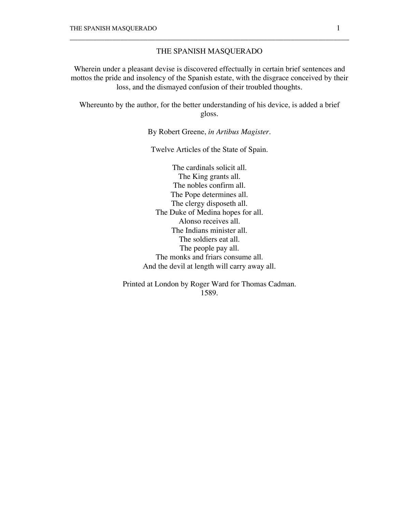## THE SPANISH MASQUERADO

\_\_\_\_\_\_\_\_\_\_\_\_\_\_\_\_\_\_\_\_\_\_\_\_\_\_\_\_\_\_\_\_\_\_\_\_\_\_\_\_\_\_\_\_\_\_\_\_\_\_\_\_\_\_\_\_\_\_\_\_\_\_\_\_\_\_\_\_\_\_\_\_

Wherein under a pleasant devise is discovered effectually in certain brief sentences and mottos the pride and insolency of the Spanish estate, with the disgrace conceived by their loss, and the dismayed confusion of their troubled thoughts.

Whereunto by the author, for the better understanding of his device, is added a brief gloss.

By Robert Greene, *in Artibus Magister*.

Twelve Articles of the State of Spain.

The cardinals solicit all. The King grants all. The nobles confirm all. The Pope determines all. The clergy disposeth all. The Duke of Medina hopes for all. Alonso receives all. The Indians minister all. The soldiers eat all. The people pay all. The monks and friars consume all. And the devil at length will carry away all.

Printed at London by Roger Ward for Thomas Cadman. 1589.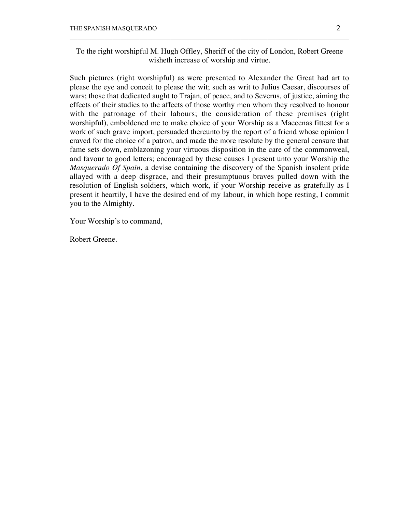To the right worshipful M. Hugh Offley, Sheriff of the city of London, Robert Greene wisheth increase of worship and virtue.

\_\_\_\_\_\_\_\_\_\_\_\_\_\_\_\_\_\_\_\_\_\_\_\_\_\_\_\_\_\_\_\_\_\_\_\_\_\_\_\_\_\_\_\_\_\_\_\_\_\_\_\_\_\_\_\_\_\_\_\_\_\_\_\_\_\_\_\_\_\_\_\_

Such pictures (right worshipful) as were presented to Alexander the Great had art to please the eye and conceit to please the wit; such as writ to Julius Caesar, discourses of wars; those that dedicated aught to Trajan, of peace, and to Severus, of justice, aiming the effects of their studies to the affects of those worthy men whom they resolved to honour with the patronage of their labours; the consideration of these premises (right worshipful), emboldened me to make choice of your Worship as a Maecenas fittest for a work of such grave import, persuaded thereunto by the report of a friend whose opinion I craved for the choice of a patron, and made the more resolute by the general censure that fame sets down, emblazoning your virtuous disposition in the care of the commonweal, and favour to good letters; encouraged by these causes I present unto your Worship the *Masquerado Of Spain*, a devise containing the discovery of the Spanish insolent pride allayed with a deep disgrace, and their presumptuous braves pulled down with the resolution of English soldiers, which work, if your Worship receive as gratefully as I present it heartily, I have the desired end of my labour, in which hope resting, I commit you to the Almighty.

Your Worship's to command,

Robert Greene.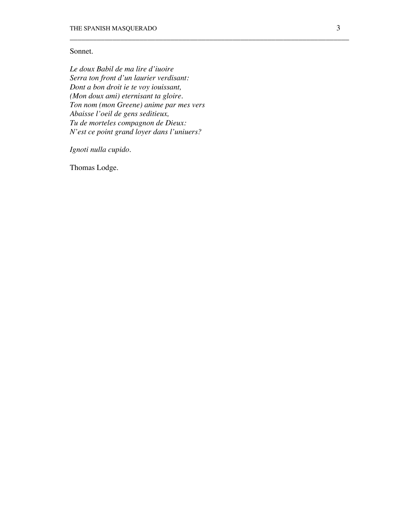# Sonnet.

*Le doux Babil de ma lire d'iuoire Serra ton front d'un laurier verdisant: Dont a bon droit ie te voy iouissant, (Mon doux ami) eternisant ta gloire. Ton nom (mon Greene) anime par mes vers Abaisse l'oeil de gens seditieux, Tu de morteles compagnon de Dieux: N'est ce point grand loyer dans l'uniuers?*

\_\_\_\_\_\_\_\_\_\_\_\_\_\_\_\_\_\_\_\_\_\_\_\_\_\_\_\_\_\_\_\_\_\_\_\_\_\_\_\_\_\_\_\_\_\_\_\_\_\_\_\_\_\_\_\_\_\_\_\_\_\_\_\_\_\_\_\_\_\_\_\_

*Ignoti nulla cupido.*

Thomas Lodge.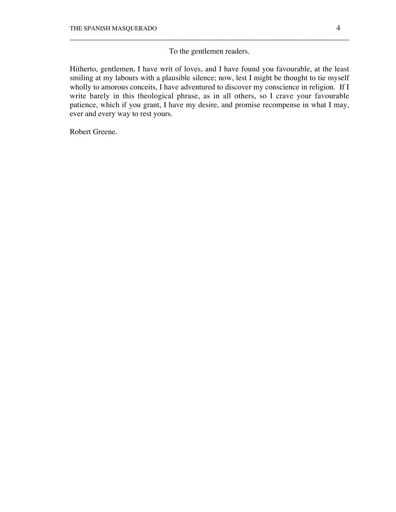To the gentlemen readers.

\_\_\_\_\_\_\_\_\_\_\_\_\_\_\_\_\_\_\_\_\_\_\_\_\_\_\_\_\_\_\_\_\_\_\_\_\_\_\_\_\_\_\_\_\_\_\_\_\_\_\_\_\_\_\_\_\_\_\_\_\_\_\_\_\_\_\_\_\_\_\_\_

Hitherto, gentlemen, I have writ of loves, and I have found you favourable, at the least smiling at my labours with a plausible silence; now, lest I might be thought to tie myself wholly to amorous conceits, I have adventured to discover my conscience in religion. If I write barely in this theological phrase, as in all others, so I crave your favourable patience, which if you grant, I have my desire, and promise recompense in what I may, ever and every way to rest yours.

Robert Greene.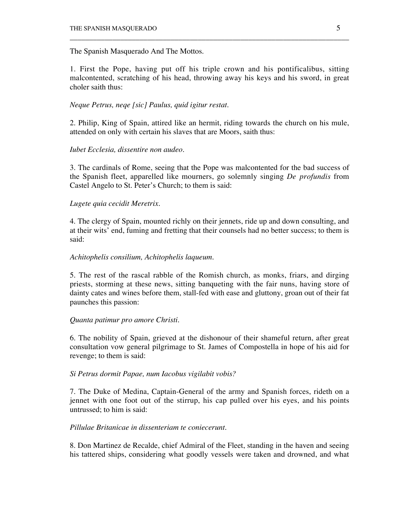The Spanish Masquerado And The Mottos.

1. First the Pope, having put off his triple crown and his pontificalibus, sitting malcontented, scratching of his head, throwing away his keys and his sword, in great choler saith thus:

\_\_\_\_\_\_\_\_\_\_\_\_\_\_\_\_\_\_\_\_\_\_\_\_\_\_\_\_\_\_\_\_\_\_\_\_\_\_\_\_\_\_\_\_\_\_\_\_\_\_\_\_\_\_\_\_\_\_\_\_\_\_\_\_\_\_\_\_\_\_\_\_

# *Neque Petrus, neqe [sic] Paulus, quid igitur restat.*

2. Philip, King of Spain, attired like an hermit, riding towards the church on his mule, attended on only with certain his slaves that are Moors, saith thus:

# *Iubet Ecclesia, dissentire non audeo.*

3. The cardinals of Rome, seeing that the Pope was malcontented for the bad success of the Spanish fleet, apparelled like mourners, go solemnly singing *De profundis* from Castel Angelo to St. Peter's Church; to them is said:

# *Lugete quia cecidit Meretrix.*

4. The clergy of Spain, mounted richly on their jennets, ride up and down consulting, and at their wits' end, fuming and fretting that their counsels had no better success; to them is said:

## *Achitophelis consilium, Achitophelis laqueum.*

5. The rest of the rascal rabble of the Romish church, as monks, friars, and dirging priests, storming at these news, sitting banqueting with the fair nuns, having store of dainty cates and wines before them, stall-fed with ease and gluttony, groan out of their fat paunches this passion:

# *Quanta patimur pro amore Christi.*

6. The nobility of Spain, grieved at the dishonour of their shameful return, after great consultation vow general pilgrimage to St. James of Compostella in hope of his aid for revenge; to them is said:

### *Si Petrus dormit Papae, num Iacobus vigilabit vobis?*

7. The Duke of Medina, Captain-General of the army and Spanish forces, rideth on a jennet with one foot out of the stirrup, his cap pulled over his eyes, and his points untrussed; to him is said:

# *Pillulae Britanicae in dissenteriam te coniecerunt.*

8. Don Martinez de Recalde, chief Admiral of the Fleet, standing in the haven and seeing his tattered ships, considering what goodly vessels were taken and drowned, and what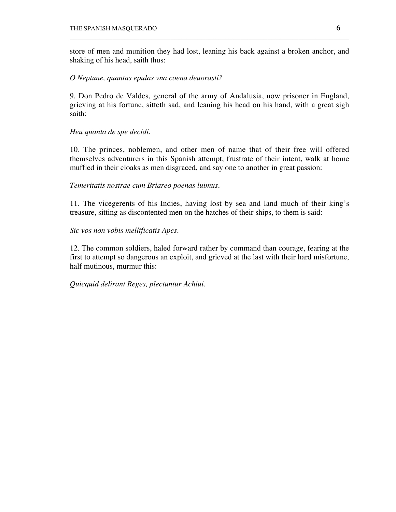store of men and munition they had lost, leaning his back against a broken anchor, and shaking of his head, saith thus:

\_\_\_\_\_\_\_\_\_\_\_\_\_\_\_\_\_\_\_\_\_\_\_\_\_\_\_\_\_\_\_\_\_\_\_\_\_\_\_\_\_\_\_\_\_\_\_\_\_\_\_\_\_\_\_\_\_\_\_\_\_\_\_\_\_\_\_\_\_\_\_\_

# *O Neptune, quantas epulas vna coena deuorasti?*

9. Don Pedro de Valdes, general of the army of Andalusia, now prisoner in England, grieving at his fortune, sitteth sad, and leaning his head on his hand, with a great sigh saith:

# *Heu quanta de spe decidi.*

10. The princes, noblemen, and other men of name that of their free will offered themselves adventurers in this Spanish attempt, frustrate of their intent, walk at home muffled in their cloaks as men disgraced, and say one to another in great passion:

# *Temeritatis nostrae cum Briareo poenas luimus.*

11. The vicegerents of his Indies, having lost by sea and land much of their king's treasure, sitting as discontented men on the hatches of their ships, to them is said:

# *Sic vos non vobis mellificatis Apes.*

12. The common soldiers, haled forward rather by command than courage, fearing at the first to attempt so dangerous an exploit, and grieved at the last with their hard misfortune, half mutinous, murmur this:

# *Quicquid delirant Reges, plectuntur Achiui.*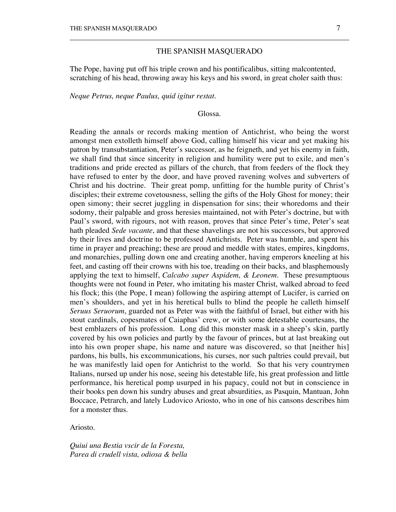## THE SPANISH MASQUERADO

\_\_\_\_\_\_\_\_\_\_\_\_\_\_\_\_\_\_\_\_\_\_\_\_\_\_\_\_\_\_\_\_\_\_\_\_\_\_\_\_\_\_\_\_\_\_\_\_\_\_\_\_\_\_\_\_\_\_\_\_\_\_\_\_\_\_\_\_\_\_\_\_

The Pope, having put off his triple crown and his pontificalibus, sitting malcontented, scratching of his head, throwing away his keys and his sword, in great choler saith thus:

*Neque Petrus, neque Paulus, quid igitur restat.*

### Glossa.

Reading the annals or records making mention of Antichrist, who being the worst amongst men extolleth himself above God, calling himself his vicar and yet making his patron by transubstantiation, Peter's successor, as he feigneth, and yet his enemy in faith, we shall find that since sincerity in religion and humility were put to exile, and men's traditions and pride erected as pillars of the church, that from feeders of the flock they have refused to enter by the door, and have proved ravening wolves and subverters of Christ and his doctrine. Their great pomp, unfitting for the humble purity of Christ's disciples; their extreme covetousness, selling the gifts of the Holy Ghost for money; their open simony; their secret juggling in dispensation for sins; their whoredoms and their sodomy, their palpable and gross heresies maintained, not with Peter's doctrine, but with Paul's sword, with rigours, not with reason, proves that since Peter's time, Peter's seat hath pleaded *Sede vacante*, and that these shavelings are not his successors, but approved by their lives and doctrine to be professed Antichrists. Peter was humble, and spent his time in prayer and preaching; these are proud and meddle with states, empires, kingdoms, and monarchies, pulling down one and creating another, having emperors kneeling at his feet, and casting off their crowns with his toe, treading on their backs, and blasphemously applying the text to himself, *Calcabo super Aspidem, & Leonem.* These presumptuous thoughts were not found in Peter, who imitating his master Christ, walked abroad to feed his flock; this (the Pope, I mean) following the aspiring attempt of Lucifer, is carried on men's shoulders, and yet in his heretical bulls to blind the people he calleth himself *Seruus Seruorum*, guarded not as Peter was with the faithful of Israel, but either with his stout cardinals, copesmates of Caiaphas' crew, or with some detestable courtesans, the best emblazers of his profession. Long did this monster mask in a sheep's skin, partly covered by his own policies and partly by the favour of princes, but at last breaking out into his own proper shape, his name and nature was discovered, so that [neither his] pardons, his bulls, his excommunications, his curses, nor such paltries could prevail, but he was manifestly laid open for Antichrist to the world. So that his very countrymen Italians, nursed up under his nose, seeing his detestable life, his great profession and little performance, his heretical pomp usurped in his papacy, could not but in conscience in their books pen down his sundry abuses and great absurdities, as Pasquin, Mantuan, John Boccace, Petrarch, and lately Ludovico Ariosto, who in one of his cansons describes him for a monster thus.

Ariosto.

*Quiui una Bestia vscir de la Foresta, Parea di crudell vista, odiosa & bella*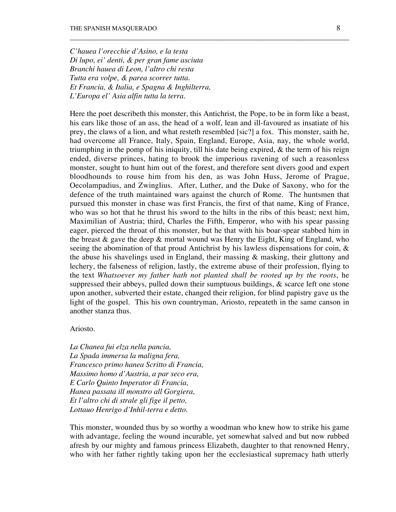*C'hauea l'orecchie d'Asino, e la testa Di lupo, ei' denti, & per gran fame asciuta Branchi hauea di Leon, l'altro chi resta Tutta era volpe, & parea scorrer tutta. Et Francia, & Italia, e Spagna & Inghilterra, L'Europa el' Asia alfin tutta la terra.*

Here the poet describeth this monster, this Antichrist, the Pope, to be in form like a beast, his ears like those of an ass, the head of a wolf, lean and ill-favoured as insatiate of his prey, the claws of a lion, and what resteth resembled [sic?] a fox. This monster, saith he, had overcome all France, Italy, Spain, England, Europe, Asia, nay, the whole world, triumphing in the pomp of his iniquity, till his date being expired,  $\&$  the term of his reign ended, diverse princes, hating to brook the imperious ravening of such a reasonless monster, sought to hunt him out of the forest, and therefore sent divers good and expert bloodhounds to rouse him from his den, as was John Huss, Jerome of Prague, Oecolampadius, and Zwinglius. After, Luther, and the Duke of Saxony, who for the defence of the truth maintained wars against the church of Rome. The huntsmen that pursued this monster in chase was first Francis, the first of that name, King of France, who was so hot that he thrust his sword to the hilts in the ribs of this beast; next him, Maximilian of Austria; third, Charles the Fifth, Emperor, who with his spear passing eager, pierced the throat of this monster, but he that with his boar-spear stabbed him in the breast & gave the deep & mortal wound was Henry the Eight, King of England, who seeing the abomination of that proud Antichrist by his lawless dispensations for coin, & the abuse his shavelings used in England, their massing & masking, their gluttony and lechery, the falseness of religion, lastly, the extreme abuse of their profession, flying to the text *Whatsoever my father hath not planted shall be rooted up by the roots*, he suppressed their abbeys, pulled down their sumptuous buildings, & scarce left one stone upon another, subverted their estate, changed their religion, for blind papistry gave us the light of the gospel. This his own countryman, Ariosto, repeateth in the same canson in another stanza thus.

\_\_\_\_\_\_\_\_\_\_\_\_\_\_\_\_\_\_\_\_\_\_\_\_\_\_\_\_\_\_\_\_\_\_\_\_\_\_\_\_\_\_\_\_\_\_\_\_\_\_\_\_\_\_\_\_\_\_\_\_\_\_\_\_\_\_\_\_\_\_\_\_

### Ariosto.

*La Chanea fui elza nella pancia, La Spada immersa la maligna fera, Francesco primo hanea Scritto di Francia, Massimo homo d'Austria, a par seco era, E Carlo Quinto Imperator di Francia, Hanea passata ill monstro all Gorgiera, Et l'altro chi di strale gli fige il petto, Lottauo Henrigo d'Inhil-terra e detto.*

This monster, wounded thus by so worthy a woodman who knew how to strike his game with advantage, feeling the wound incurable, yet somewhat salved and but now rubbed afresh by our mighty and famous princess Elizabeth, daughter to that renowned Henry, who with her father rightly taking upon her the ecclesiastical supremacy hath utterly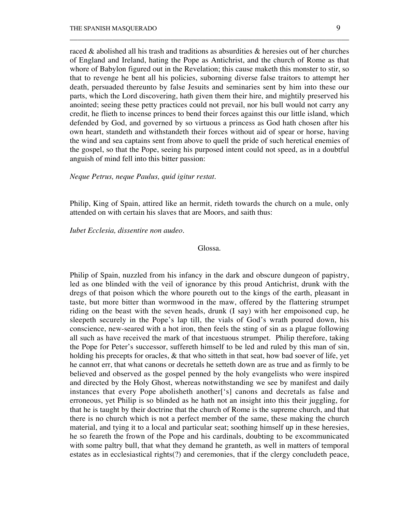raced & abolished all his trash and traditions as absurdities & heresies out of her churches of England and Ireland, hating the Pope as Antichrist, and the church of Rome as that whore of Babylon figured out in the Revelation; this cause maketh this monster to stir, so that to revenge he bent all his policies, suborning diverse false traitors to attempt her death, persuaded thereunto by false Jesuits and seminaries sent by him into these our parts, which the Lord discovering, hath given them their hire, and mightily preserved his anointed; seeing these petty practices could not prevail, nor his bull would not carry any credit, he flieth to incense princes to bend their forces against this our little island, which defended by God, and governed by so virtuous a princess as God hath chosen after his own heart, standeth and withstandeth their forces without aid of spear or horse, having the wind and sea captains sent from above to quell the pride of such heretical enemies of the gospel, so that the Pope, seeing his purposed intent could not speed, as in a doubtful anguish of mind fell into this bitter passion:

\_\_\_\_\_\_\_\_\_\_\_\_\_\_\_\_\_\_\_\_\_\_\_\_\_\_\_\_\_\_\_\_\_\_\_\_\_\_\_\_\_\_\_\_\_\_\_\_\_\_\_\_\_\_\_\_\_\_\_\_\_\_\_\_\_\_\_\_\_\_\_\_

*Neque Petrus, neque Paulus, quid igitur restat.*

Philip, King of Spain, attired like an hermit, rideth towards the church on a mule, only attended on with certain his slaves that are Moors, and saith thus:

### *Iubet Ecclesia, dissentire non audeo.*

### Glossa.

Philip of Spain, nuzzled from his infancy in the dark and obscure dungeon of papistry, led as one blinded with the veil of ignorance by this proud Antichrist, drunk with the dregs of that poison which the whore poureth out to the kings of the earth, pleasant in taste, but more bitter than wormwood in the maw, offered by the flattering strumpet riding on the beast with the seven heads, drunk (I say) with her empoisoned cup, he sleepeth securely in the Pope's lap till, the vials of God's wrath poured down, his conscience, new-seared with a hot iron, then feels the sting of sin as a plague following all such as have received the mark of that incestuous strumpet. Philip therefore, taking the Pope for Peter's successor, suffereth himself to be led and ruled by this man of sin, holding his precepts for oracles, & that who sitteth in that seat, how bad soever of life, yet he cannot err, that what canons or decretals he setteth down are as true and as firmly to be believed and observed as the gospel penned by the holy evangelists who were inspired and directed by the Holy Ghost, whereas notwithstanding we see by manifest and daily instances that every Pope abolisheth another['s] canons and decretals as false and erroneous, yet Philip is so blinded as he hath not an insight into this their juggling, for that he is taught by their doctrine that the church of Rome is the supreme church, and that there is no church which is not a perfect member of the same, these making the church material, and tying it to a local and particular seat; soothing himself up in these heresies, he so feareth the frown of the Pope and his cardinals, doubting to be excommunicated with some paltry bull, that what they demand he granteth, as well in matters of temporal estates as in ecclesiastical rights(?) and ceremonies, that if the clergy concludeth peace,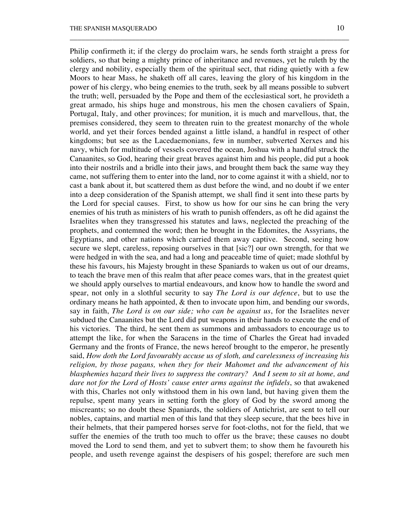Philip confirmeth it; if the clergy do proclaim wars, he sends forth straight a press for soldiers, so that being a mighty prince of inheritance and revenues, yet he ruleth by the clergy and nobility, especially them of the spiritual sect, that riding quietly with a few Moors to hear Mass, he shaketh off all cares, leaving the glory of his kingdom in the power of his clergy, who being enemies to the truth, seek by all means possible to subvert the truth; well, persuaded by the Pope and them of the ecclesiastical sort, he provideth a great armado, his ships huge and monstrous, his men the chosen cavaliers of Spain, Portugal, Italy, and other provinces; for munition, it is much and marvellous, that, the premises considered, they seem to threaten ruin to the greatest monarchy of the whole world, and yet their forces bended against a little island, a handful in respect of other kingdoms; but see as the Lacedaemonians, few in number, subverted Xerxes and his navy, which for multitude of vessels covered the ocean, Joshua with a handful struck the Canaanites, so God, hearing their great braves against him and his people, did put a hook into their nostrils and a bridle into their jaws, and brought them back the same way they came, not suffering them to enter into the land, nor to come against it with a shield, nor to cast a bank about it, but scattered them as dust before the wind, and no doubt if we enter into a deep consideration of the Spanish attempt, we shall find it sent into these parts by the Lord for special causes. First, to show us how for our sins he can bring the very enemies of his truth as ministers of his wrath to punish offenders, as oft he did against the Israelites when they transgressed his statutes and laws, neglected the preaching of the prophets, and contemned the word; then he brought in the Edomites, the Assyrians, the Egyptians, and other nations which carried them away captive. Second, seeing how secure we slept, careless, reposing ourselves in that [sic?] our own strength, for that we were hedged in with the sea, and had a long and peaceable time of quiet; made slothful by these his favours, his Majesty brought in these Spaniards to waken us out of our dreams, to teach the brave men of this realm that after peace comes wars, that in the greatest quiet we should apply ourselves to martial endeavours, and know how to handle the sword and spear, not only in a slothful security to say *The Lord is our defence*, but to use the ordinary means he hath appointed, & then to invocate upon him, and bending our swords, say in faith, *The Lord is on our side; who can be against us*, for the Israelites never subdued the Canaanites but the Lord did put weapons in their hands to execute the end of his victories. The third, he sent them as summons and ambassadors to encourage us to attempt the like, for when the Saracens in the time of Charles the Great had invaded Germany and the fronts of France, the news hereof brought to the emperor, he presently said, *How doth the Lord favourably accuse us of sloth, and carelessness of increasing his religion, by those pagans, when they for their Mahomet and the advancement of his blasphemies hazard their lives to suppress the contrary? And I seem to sit at home, and dare not for the Lord of Hosts' cause enter arms against the infidels*, so that awakened with this, Charles not only withstood them in his own land, but having given them the repulse, spent many years in setting forth the glory of God by the sword among the miscreants; so no doubt these Spaniards, the soldiers of Antichrist, are sent to tell our nobles, captains, and martial men of this land that they sleep secure, that the bees hive in their helmets, that their pampered horses serve for foot-cloths, not for the field, that we suffer the enemies of the truth too much to offer us the brave; these causes no doubt moved the Lord to send them, and yet to subvert them; to show them he favoureth his people, and useth revenge against the despisers of his gospel; therefore are such men

\_\_\_\_\_\_\_\_\_\_\_\_\_\_\_\_\_\_\_\_\_\_\_\_\_\_\_\_\_\_\_\_\_\_\_\_\_\_\_\_\_\_\_\_\_\_\_\_\_\_\_\_\_\_\_\_\_\_\_\_\_\_\_\_\_\_\_\_\_\_\_\_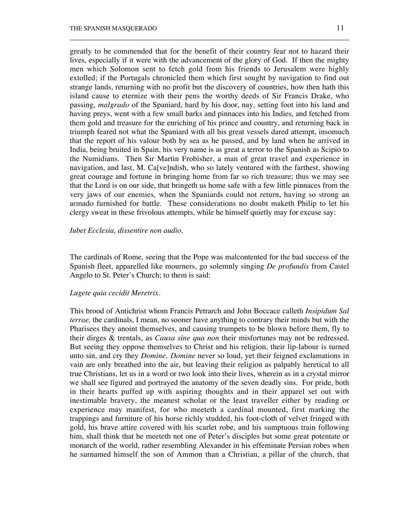greatly to be commended that for the benefit of their country fear not to hazard their lives, especially if it were with the advancement of the glory of God. If then the mighty men which Solomon sent to fetch gold from his friends to Jerusalem were highly extolled; if the Portugals chronicled them which first sought by navigation to find out strange lands, returning with no profit but the discovery of countries, how then hath this island cause to eternize with their pens the worthy deeds of Sir Francis Drake, who passing, *malgrado* of the Spaniard, hard by his door, nay, setting foot into his land and having preys, went with a few small barks and pinnaces into his Indies, and fetched from them gold and treasure for the enriching of his prince and country, and returning back in triumph feared not what the Spaniard with all his great vessels dared attempt, insomuch that the report of his valour both by sea as he passed, and by land when he arrived in India, being bruited in Spain, his very name is as great a terror to the Spanish as Scipio to the Numidians. Then Sir Martin Frobisher, a man of great travel and experience in navigation, and last, M. Ca[ve]ndish, who so lately ventured with the farthest, showing great courage and fortune in bringing home from far so rich treasure; thus we may see that the Lord is on our side, that bringeth us home safe with a few little pinnaces from the very jaws of our enemies, when the Spaniards could not return, having so strong an armado furnished for battle. These considerations no doubt maketh Philip to let his clergy sweat in these frivolous attempts, while he himself quietly may for excuse say:

\_\_\_\_\_\_\_\_\_\_\_\_\_\_\_\_\_\_\_\_\_\_\_\_\_\_\_\_\_\_\_\_\_\_\_\_\_\_\_\_\_\_\_\_\_\_\_\_\_\_\_\_\_\_\_\_\_\_\_\_\_\_\_\_\_\_\_\_\_\_\_\_

### *Iubet Ecclesia, dissentire non audio.*

The cardinals of Rome, seeing that the Pope was malcontented for the bad success of the Spanish fleet, apparelled like mourners, go solemnly singing *De profundis* from Castel Angelo to St. Peter's Church; to them is said:

### *Lugete quia cecidit Meretrix.*

This brood of Antichrist whom Francis Petrarch and John Boccace calleth *Insipidum Sal terrae,* the cardinals, I mean, no sooner have anything to contrary their minds but with the Pharisees they anoint themselves, and causing trumpets to be blown before them, fly to their dirges & trentals, as *Causa sine qua non* their misfortunes may not be redressed. But seeing they oppose themselves to Christ and his religion, their lip-labour is turned unto sin, and cry they *Domine, Domine* never so loud, yet their feigned exclamations in vain are only breathed into the air, but leaving their religion as palpably heretical to all true Christians, let us in a word or two look into their lives, wherein as in a crystal mirror we shall see figured and portrayed the anatomy of the seven deadly sins. For pride, both in their hearts puffed up with aspiring thoughts and in their apparel set out with inestimable bravery, the meanest scholar or the least traveller either by reading or experience may manifest, for who meeteth a cardinal mounted, first marking the trappings and furniture of his horse richly studded, his foot-cloth of velvet fringed with gold, his brave attire covered with his scarlet robe, and his sumptuous train following him, shall think that he meeteth not one of Peter's disciples but some great potentate or monarch of the world, rather resembling Alexander in his effeminate Persian robes when he surnamed himself the son of Ammon than a Christian, a pillar of the church, that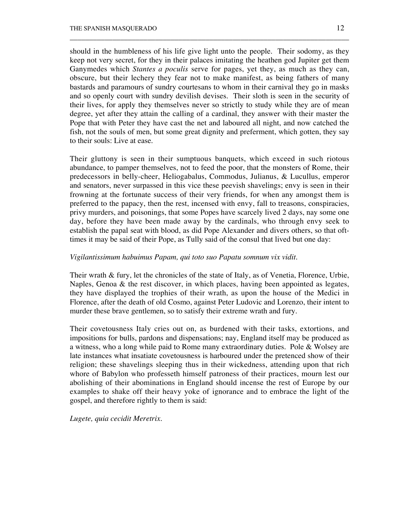should in the humbleness of his life give light unto the people. Their sodomy, as they keep not very secret, for they in their palaces imitating the heathen god Jupiter get them Ganymedes which *Stantes a poculis* serve for pages, yet they, as much as they can, obscure, but their lechery they fear not to make manifest, as being fathers of many bastards and paramours of sundry courtesans to whom in their carnival they go in masks and so openly court with sundry devilish devises. Their sloth is seen in the security of their lives, for apply they themselves never so strictly to study while they are of mean degree, yet after they attain the calling of a cardinal, they answer with their master the Pope that with Peter they have cast the net and laboured all night, and now catched the fish, not the souls of men, but some great dignity and preferment, which gotten, they say to their souls: Live at ease.

\_\_\_\_\_\_\_\_\_\_\_\_\_\_\_\_\_\_\_\_\_\_\_\_\_\_\_\_\_\_\_\_\_\_\_\_\_\_\_\_\_\_\_\_\_\_\_\_\_\_\_\_\_\_\_\_\_\_\_\_\_\_\_\_\_\_\_\_\_\_\_\_

Their gluttony is seen in their sumptuous banquets, which exceed in such riotous abundance, to pamper themselves, not to feed the poor, that the monsters of Rome, their predecessors in belly-cheer, Heliogabalus, Commodus, Julianus, & Lucullus, emperor and senators, never surpassed in this vice these peevish shavelings; envy is seen in their frowning at the fortunate success of their very friends, for when any amongst them is preferred to the papacy, then the rest, incensed with envy, fall to treasons, conspiracies, privy murders, and poisonings, that some Popes have scarcely lived 2 days, nay some one day, before they have been made away by the cardinals, who through envy seek to establish the papal seat with blood, as did Pope Alexander and divers others, so that ofttimes it may be said of their Pope, as Tully said of the consul that lived but one day:

# *Vigilantissimum habuimus Papam, qui toto suo Papatu somnum vix vidit.*

Their wrath & fury, let the chronicles of the state of Italy, as of Venetia, Florence, Urbie, Naples, Genoa & the rest discover, in which places, having been appointed as legates, they have displayed the trophies of their wrath, as upon the house of the Medici in Florence, after the death of old Cosmo, against Peter Ludovic and Lorenzo, their intent to murder these brave gentlemen, so to satisfy their extreme wrath and fury.

Their covetousness Italy cries out on, as burdened with their tasks, extortions, and impositions for bulls, pardons and dispensations; nay, England itself may be produced as a witness, who a long while paid to Rome many extraordinary duties. Pole & Wolsey are late instances what insatiate covetousness is harboured under the pretenced show of their religion; these shavelings sleeping thus in their wickedness, attending upon that rich whore of Babylon who professeth himself patroness of their practices, mourn lest our abolishing of their abominations in England should incense the rest of Europe by our examples to shake off their heavy yoke of ignorance and to embrace the light of the gospel, and therefore rightly to them is said:

*Lugete, quia cecidit Meretrix.*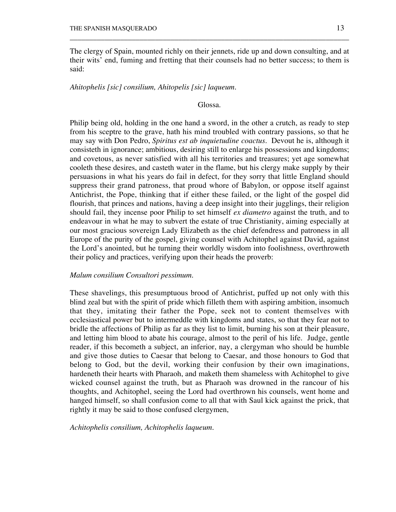The clergy of Spain, mounted richly on their jennets, ride up and down consulting, and at their wits' end, fuming and fretting that their counsels had no better success; to them is said:

\_\_\_\_\_\_\_\_\_\_\_\_\_\_\_\_\_\_\_\_\_\_\_\_\_\_\_\_\_\_\_\_\_\_\_\_\_\_\_\_\_\_\_\_\_\_\_\_\_\_\_\_\_\_\_\_\_\_\_\_\_\_\_\_\_\_\_\_\_\_\_\_

# *Ahitophelis [sic] consilium, Ahitopelis [sic] laqueum.*

# Glossa.

Philip being old, holding in the one hand a sword, in the other a crutch, as ready to step from his sceptre to the grave, hath his mind troubled with contrary passions, so that he may say with Don Pedro, *Spiritus est ab inquietudine coactus*. Devout he is, although it consisteth in ignorance; ambitious, desiring still to enlarge his possessions and kingdoms; and covetous, as never satisfied with all his territories and treasures; yet age somewhat cooleth these desires, and casteth water in the flame, but his clergy make supply by their persuasions in what his years do fail in defect, for they sorry that little England should suppress their grand patroness, that proud whore of Babylon, or oppose itself against Antichrist, the Pope, thinking that if either these failed, or the light of the gospel did flourish, that princes and nations, having a deep insight into their jugglings, their religion should fail, they incense poor Philip to set himself *ex diametro* against the truth, and to endeavour in what he may to subvert the estate of true Christianity, aiming especially at our most gracious sovereign Lady Elizabeth as the chief defendress and patroness in all Europe of the purity of the gospel, giving counsel with Achitophel against David, against the Lord's anointed, but he turning their worldly wisdom into foolishness, overthroweth their policy and practices, verifying upon their heads the proverb:

# *Malum consilium Consultori pessimum.*

These shavelings, this presumptuous brood of Antichrist, puffed up not only with this blind zeal but with the spirit of pride which filleth them with aspiring ambition, insomuch that they, imitating their father the Pope, seek not to content themselves with ecclesiastical power but to intermeddle with kingdoms and states, so that they fear not to bridle the affections of Philip as far as they list to limit, burning his son at their pleasure, and letting him blood to abate his courage, almost to the peril of his life. Judge, gentle reader, if this becometh a subject, an inferior, nay, a clergyman who should be humble and give those duties to Caesar that belong to Caesar, and those honours to God that belong to God, but the devil, working their confusion by their own imaginations, hardeneth their hearts with Pharaoh, and maketh them shameless with Achitophel to give wicked counsel against the truth, but as Pharaoh was drowned in the rancour of his thoughts, and Achitophel, seeing the Lord had overthrown his counsels, went home and hanged himself, so shall confusion come to all that with Saul kick against the prick, that rightly it may be said to those confused clergymen,

*Achitophelis consilium, Achitophelis laqueum.*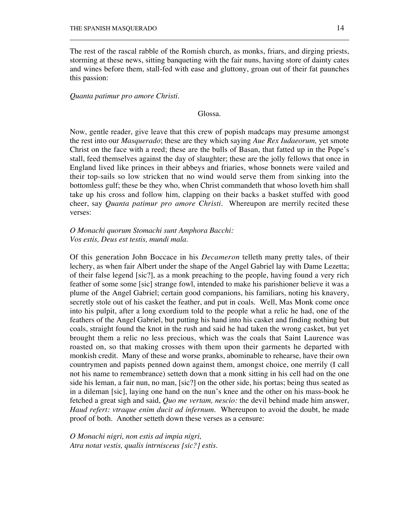The rest of the rascal rabble of the Romish church, as monks, friars, and dirging priests, storming at these news, sitting banqueting with the fair nuns, having store of dainty cates and wines before them, stall-fed with ease and gluttony, groan out of their fat paunches this passion:

\_\_\_\_\_\_\_\_\_\_\_\_\_\_\_\_\_\_\_\_\_\_\_\_\_\_\_\_\_\_\_\_\_\_\_\_\_\_\_\_\_\_\_\_\_\_\_\_\_\_\_\_\_\_\_\_\_\_\_\_\_\_\_\_\_\_\_\_\_\_\_\_

### *Quanta patimur pro amore Christi.*

Glossa.

Now, gentle reader, give leave that this crew of popish madcaps may presume amongst the rest into our *Masquerado*; these are they which saying *Aue Rex Iudaeorum,* yet smote Christ on the face with a reed; these are the bulls of Basan, that fatted up in the Pope's stall, feed themselves against the day of slaughter; these are the jolly fellows that once in England lived like princes in their abbeys and friaries, whose bonnets were vailed and their top-sails so low stricken that no wind would serve them from sinking into the bottomless gulf; these be they who, when Christ commandeth that whoso loveth him shall take up his cross and follow him, clapping on their backs a basket stuffed with good cheer, say *Quanta patimur pro amore Christi*. Whereupon are merrily recited these verses:

# *O Monachi quorum Stomachi sunt Amphora Bacchi: Vos estis, Deus est testis, mundi mala.*

Of this generation John Boccace in his *Decameron* telleth many pretty tales, of their lechery, as when fair Albert under the shape of the Angel Gabriel lay with Dame Lezetta; of their false legend [sic?], as a monk preaching to the people, having found a very rich feather of some some [sic] strange fowl, intended to make his parishioner believe it was a plume of the Angel Gabriel; certain good companions, his familiars, noting his knavery, secretly stole out of his casket the feather, and put in coals. Well, Mas Monk come once into his pulpit, after a long exordium told to the people what a relic he had, one of the feathers of the Angel Gabriel, but putting his hand into his casket and finding nothing but coals, straight found the knot in the rush and said he had taken the wrong casket, but yet brought them a relic no less precious, which was the coals that Saint Laurence was roasted on, so that making crosses with them upon their garments he departed with monkish credit. Many of these and worse pranks, abominable to rehearse, have their own countrymen and papists penned down against them, amongst choice, one merrily (I call not his name to remembrance) setteth down that a monk sitting in his cell had on the one side his leman, a fair nun, no man, [sic?] on the other side, his portas; being thus seated as in a dileman [sic], laying one hand on the nun's knee and the other on his mass-book he fetched a great sigh and said, *Quo me vertam, nescio:* the devil behind made him answer, *Haud refert: vtraque enim ducit ad infernum*. Whereupon to avoid the doubt, he made proof of both. Another setteth down these verses as a censure:

*O Monachi nigri, non estis ad impia nigri, Atra notat vestis, qualis intrnisceus [sic?] estis.*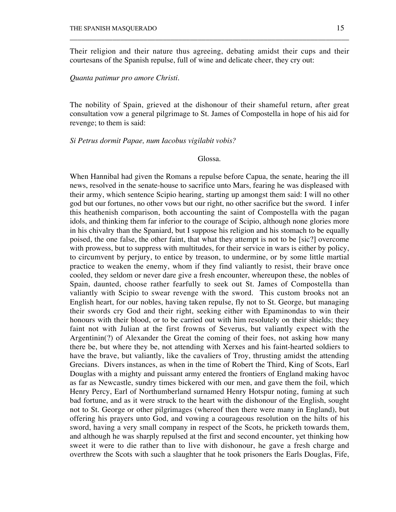Their religion and their nature thus agreeing, debating amidst their cups and their courtesans of the Spanish repulse, full of wine and delicate cheer, they cry out:

\_\_\_\_\_\_\_\_\_\_\_\_\_\_\_\_\_\_\_\_\_\_\_\_\_\_\_\_\_\_\_\_\_\_\_\_\_\_\_\_\_\_\_\_\_\_\_\_\_\_\_\_\_\_\_\_\_\_\_\_\_\_\_\_\_\_\_\_\_\_\_\_

*Quanta patimur pro amore Christi.*

The nobility of Spain, grieved at the dishonour of their shameful return, after great consultation vow a general pilgrimage to St. James of Compostella in hope of his aid for revenge; to them is said:

*Si Petrus dormit Papae, num Iacobus vigilabit vobis?*

### Glossa.

When Hannibal had given the Romans a repulse before Capua, the senate, hearing the ill news, resolved in the senate-house to sacrifice unto Mars, fearing he was displeased with their army, which sentence Scipio hearing, starting up amongst them said: I will no other god but our fortunes, no other vows but our right, no other sacrifice but the sword. I infer this heathenish comparison, both accounting the saint of Compostella with the pagan idols, and thinking them far inferior to the courage of Scipio, although none glories more in his chivalry than the Spaniard, but I suppose his religion and his stomach to be equally poised, the one false, the other faint, that what they attempt is not to be [sic?] overcome with prowess, but to suppress with multitudes, for their service in wars is either by policy, to circumvent by perjury, to entice by treason, to undermine, or by some little martial practice to weaken the enemy, whom if they find valiantly to resist, their brave once cooled, they seldom or never dare give a fresh encounter, whereupon these, the nobles of Spain, daunted, choose rather fearfully to seek out St. James of Compostella than valiantly with Scipio to swear revenge with the sword. This custom brooks not an English heart, for our nobles, having taken repulse, fly not to St. George, but managing their swords cry God and their right, seeking either with Epaminondas to win their honours with their blood, or to be carried out with him resolutely on their shields; they faint not with Julian at the first frowns of Severus, but valiantly expect with the Argentinin(?) of Alexander the Great the coming of their foes, not asking how many there be, but where they be, not attending with Xerxes and his faint-hearted soldiers to have the brave, but valiantly, like the cavaliers of Troy, thrusting amidst the attending Grecians. Divers instances, as when in the time of Robert the Third, King of Scots, Earl Douglas with a mighty and puissant army entered the frontiers of England making havoc as far as Newcastle, sundry times bickered with our men, and gave them the foil, which Henry Percy, Earl of Northumberland surnamed Henry Hotspur noting, fuming at such bad fortune, and as it were struck to the heart with the dishonour of the English, sought not to St. George or other pilgrimages (whereof then there were many in England), but offering his prayers unto God, and vowing a courageous resolution on the hilts of his sword, having a very small company in respect of the Scots, he pricketh towards them, and although he was sharply repulsed at the first and second encounter, yet thinking how sweet it were to die rather than to live with dishonour, he gave a fresh charge and overthrew the Scots with such a slaughter that he took prisoners the Earls Douglas, Fife,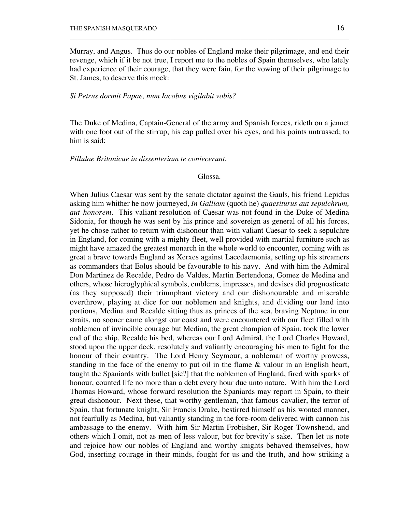Murray, and Angus. Thus do our nobles of England make their pilgrimage, and end their revenge, which if it be not true, I report me to the nobles of Spain themselves, who lately had experience of their courage, that they were fain, for the vowing of their pilgrimage to St. James, to deserve this mock:

\_\_\_\_\_\_\_\_\_\_\_\_\_\_\_\_\_\_\_\_\_\_\_\_\_\_\_\_\_\_\_\_\_\_\_\_\_\_\_\_\_\_\_\_\_\_\_\_\_\_\_\_\_\_\_\_\_\_\_\_\_\_\_\_\_\_\_\_\_\_\_\_

### *Si Petrus dormit Papae, num Iacobus vigilabit vobis?*

The Duke of Medina, Captain-General of the army and Spanish forces, rideth on a jennet with one foot out of the stirrup, his cap pulled over his eyes, and his points untrussed; to him is said:

## *Pillulae Britanicae in dissenteriam te coniecerunt.*

#### Glossa.

When Julius Caesar was sent by the senate dictator against the Gauls, his friend Lepidus asking him whither he now journeyed, *In Galliam* (quoth he) *quaesiturus aut sepulchrum, aut honorem.* This valiant resolution of Caesar was not found in the Duke of Medina Sidonia, for though he was sent by his prince and sovereign as general of all his forces, yet he chose rather to return with dishonour than with valiant Caesar to seek a sepulchre in England, for coming with a mighty fleet, well provided with martial furniture such as might have amazed the greatest monarch in the whole world to encounter, coming with as great a brave towards England as Xerxes against Lacedaemonia, setting up his streamers as commanders that Eolus should be favourable to his navy. And with him the Admiral Don Martinez de Recalde, Pedro de Valdes, Martin Bertendona, Gomez de Medina and others, whose hieroglyphical symbols, emblems, impresses, and devises did prognosticate (as they supposed) their triumphant victory and our dishonourable and miserable overthrow, playing at dice for our noblemen and knights, and dividing our land into portions, Medina and Recalde sitting thus as princes of the sea, braving Neptune in our straits, no sooner came alongst our coast and were encountered with our fleet filled with noblemen of invincible courage but Medina, the great champion of Spain, took the lower end of the ship, Recalde his bed, whereas our Lord Admiral, the Lord Charles Howard, stood upon the upper deck, resolutely and valiantly encouraging his men to fight for the honour of their country. The Lord Henry Seymour, a nobleman of worthy prowess, standing in the face of the enemy to put oil in the flame  $\&$  valour in an English heart, taught the Spaniards with bullet [sic?] that the noblemen of England, fired with sparks of honour, counted life no more than a debt every hour due unto nature. With him the Lord Thomas Howard, whose forward resolution the Spaniards may report in Spain, to their great dishonour. Next these, that worthy gentleman, that famous cavalier, the terror of Spain, that fortunate knight, Sir Francis Drake, bestirred himself as his wonted manner, not fearfully as Medina, but valiantly standing in the fore-room delivered with cannon his ambassage to the enemy. With him Sir Martin Frobisher, Sir Roger Townshend, and others which I omit, not as men of less valour, but for brevity's sake. Then let us note and rejoice how our nobles of England and worthy knights behaved themselves, how God, inserting courage in their minds, fought for us and the truth, and how striking a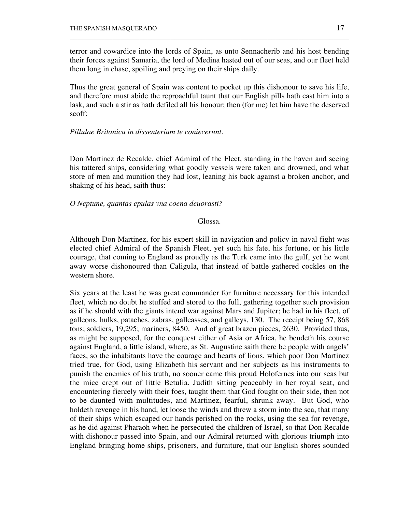terror and cowardice into the lords of Spain, as unto Sennacherib and his host bending their forces against Samaria, the lord of Medina hasted out of our seas, and our fleet held them long in chase, spoiling and preying on their ships daily.

\_\_\_\_\_\_\_\_\_\_\_\_\_\_\_\_\_\_\_\_\_\_\_\_\_\_\_\_\_\_\_\_\_\_\_\_\_\_\_\_\_\_\_\_\_\_\_\_\_\_\_\_\_\_\_\_\_\_\_\_\_\_\_\_\_\_\_\_\_\_\_\_

Thus the great general of Spain was content to pocket up this dishonour to save his life, and therefore must abide the reproachful taunt that our English pills hath cast him into a lask, and such a stir as hath defiled all his honour; then (for me) let him have the deserved scoff:

# *Pillulae Britanica in dissenteriam te coniecerunt.*

Don Martinez de Recalde, chief Admiral of the Fleet, standing in the haven and seeing his tattered ships, considering what goodly vessels were taken and drowned, and what store of men and munition they had lost, leaning his back against a broken anchor, and shaking of his head, saith thus:

# *O Neptune, quantas epulas vna coena deuorasti?*

Glossa.

Although Don Martinez, for his expert skill in navigation and policy in naval fight was elected chief Admiral of the Spanish Fleet, yet such his fate, his fortune, or his little courage, that coming to England as proudly as the Turk came into the gulf, yet he went away worse dishonoured than Caligula, that instead of battle gathered cockles on the western shore.

Six years at the least he was great commander for furniture necessary for this intended fleet, which no doubt he stuffed and stored to the full, gathering together such provision as if he should with the giants intend war against Mars and Jupiter; he had in his fleet, of galleons, hulks, pataches, zabras, galleasses, and galleys, 130. The receipt being 57, 868 tons; soldiers, 19,295; mariners, 8450. And of great brazen pieces, 2630. Provided thus, as might be supposed, for the conquest either of Asia or Africa, he bendeth his course against England, a little island, where, as St. Augustine saith there be people with angels' faces, so the inhabitants have the courage and hearts of lions, which poor Don Martinez tried true, for God, using Elizabeth his servant and her subjects as his instruments to punish the enemies of his truth, no sooner came this proud Holofernes into our seas but the mice crept out of little Betulia, Judith sitting peaceably in her royal seat, and encountering fiercely with their foes, taught them that God fought on their side, then not to be daunted with multitudes, and Martinez, fearful, shrunk away. But God, who holdeth revenge in his hand, let loose the winds and threw a storm into the sea, that many of their ships which escaped our hands perished on the rocks, using the sea for revenge, as he did against Pharaoh when he persecuted the children of Israel, so that Don Recalde with dishonour passed into Spain, and our Admiral returned with glorious triumph into England bringing home ships, prisoners, and furniture, that our English shores sounded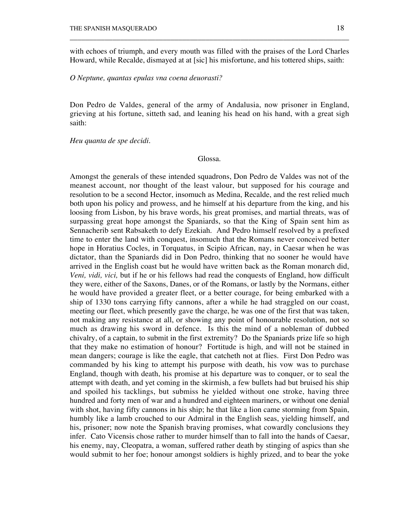with echoes of triumph, and every mouth was filled with the praises of the Lord Charles Howard, while Recalde, dismayed at at [sic] his misfortune, and his tottered ships, saith:

\_\_\_\_\_\_\_\_\_\_\_\_\_\_\_\_\_\_\_\_\_\_\_\_\_\_\_\_\_\_\_\_\_\_\_\_\_\_\_\_\_\_\_\_\_\_\_\_\_\_\_\_\_\_\_\_\_\_\_\_\_\_\_\_\_\_\_\_\_\_\_\_

*O Neptune, quantas epulas vna coena deuorasti?*

Don Pedro de Valdes, general of the army of Andalusia, now prisoner in England, grieving at his fortune, sitteth sad, and leaning his head on his hand, with a great sigh saith:

*Heu quanta de spe decidi.*

Glossa.

Amongst the generals of these intended squadrons, Don Pedro de Valdes was not of the meanest account, nor thought of the least valour, but supposed for his courage and resolution to be a second Hector, insomuch as Medina, Recalde, and the rest relied much both upon his policy and prowess, and he himself at his departure from the king, and his loosing from Lisbon, by his brave words, his great promises, and martial threats, was of surpassing great hope amongst the Spaniards, so that the King of Spain sent him as Sennacherib sent Rabsaketh to defy Ezekiah. And Pedro himself resolved by a prefixed time to enter the land with conquest, insomuch that the Romans never conceived better hope in Horatius Cocles, in Torquatus, in Scipio African, nay, in Caesar when he was dictator, than the Spaniards did in Don Pedro, thinking that no sooner he would have arrived in the English coast but he would have written back as the Roman monarch did, *Veni, vidi, vici,* but if he or his fellows had read the conquests of England, how difficult they were, either of the Saxons, Danes, or of the Romans, or lastly by the Normans, either he would have provided a greater fleet, or a better courage, for being embarked with a ship of 1330 tons carrying fifty cannons, after a while he had straggled on our coast, meeting our fleet, which presently gave the charge, he was one of the first that was taken, not making any resistance at all, or showing any point of honourable resolution, not so much as drawing his sword in defence. Is this the mind of a nobleman of dubbed chivalry, of a captain, to submit in the first extremity? Do the Spaniards prize life so high that they make no estimation of honour? Fortitude is high, and will not be stained in mean dangers; courage is like the eagle, that catcheth not at flies. First Don Pedro was commanded by his king to attempt his purpose with death, his vow was to purchase England, though with death, his promise at his departure was to conquer, or to seal the attempt with death, and yet coming in the skirmish, a few bullets had but bruised his ship and spoiled his tacklings, but submiss he yielded without one stroke, having three hundred and forty men of war and a hundred and eighteen mariners, or without one denial with shot, having fifty cannons in his ship; he that like a lion came storming from Spain, humbly like a lamb crouched to our Admiral in the English seas, yielding himself, and his, prisoner; now note the Spanish braving promises, what cowardly conclusions they infer. Cato Vicensis chose rather to murder himself than to fall into the hands of Caesar, his enemy, nay, Cleopatra, a woman, suffered rather death by stinging of aspics than she would submit to her foe; honour amongst soldiers is highly prized, and to bear the yoke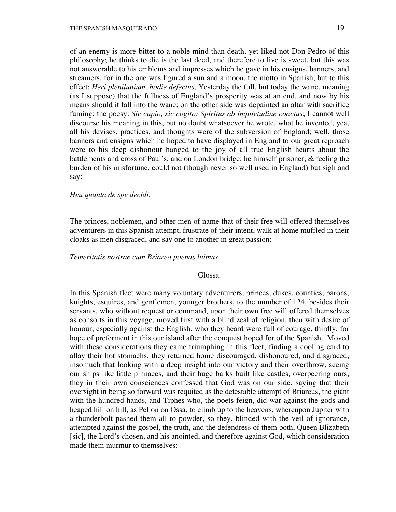of an enemy is more bitter to a noble mind than death, yet liked not Don Pedro of this philosophy; he thinks to die is the last deed, and therefore to live is sweet, but this was not answerable to his emblems and impresses which he gave in his ensigns, banners, and streamers, for in the one was figured a sun and a moon, the motto in Spanish, but to this effect; *Heri plenilunium, hodie defectus*, Yesterday the full, but today the wane, meaning (as I suppose) that the fullness of England's prosperity was at an end, and now by his means should it fall into the wane; on the other side was depainted an altar with sacrifice fuming; the poesy: *Sic cupio, sic cogito: Spiritus ab inquietudine coactus*; I cannot well discourse his meaning in this, but no doubt whatsoever he wrote, what he invented, yea, all his devises, practices, and thoughts were of the subversion of England; well, those banners and ensigns which he hoped to have displayed in England to our great reproach were to his deep dishonour hanged to the joy of all true English hearts about the battlements and cross of Paul's, and on London bridge; he himself prisoner, & feeling the burden of his misfortune, could not (though never so well used in England) but sigh and say:

\_\_\_\_\_\_\_\_\_\_\_\_\_\_\_\_\_\_\_\_\_\_\_\_\_\_\_\_\_\_\_\_\_\_\_\_\_\_\_\_\_\_\_\_\_\_\_\_\_\_\_\_\_\_\_\_\_\_\_\_\_\_\_\_\_\_\_\_\_\_\_\_

### *Heu quanta de spe decidi*.

The princes, noblemen, and other men of name that of their free will offered themselves adventurers in this Spanish attempt, frustrate of their intent, walk at home muffled in their cloaks as men disgraced, and say one to another in great passion:

# *Temeritatis nostrae cum Briareo poenas luimus.*

### Glossa.

In this Spanish fleet were many voluntary adventurers, princes, dukes, counties, barons, knights, esquires, and gentlemen, younger brothers, to the number of 124, besides their servants, who without request or command, upon their own free will offered themselves as consorts in this voyage, moved first with a blind zeal of religion, then with desire of honour, especially against the English, who they heard were full of courage, thirdly, for hope of preferment in this our island after the conquest hoped for of the Spanish. Moved with these considerations they came triumphing in this fleet; finding a cooling card to allay their hot stomachs, they returned home discouraged, dishonoured, and disgraced, insomuch that looking with a deep insight into our victory and their overthrow, seeing our ships like little pinnaces, and their huge barks built like castles, overpeering ours, they in their own consciences confessed that God was on our side, saying that their oversight in being so forward was requited as the detestable attempt of Briareus, the giant with the hundred hands, and Tiphes who, the poets feign, did war against the gods and heaped hill on hill, as Pelion on Ossa, to climb up to the heavens, whereupon Jupiter with a thunderbolt pashed them all to powder, so they, blinded with the veil of ignorance, attempted against the gospel, the truth, and the defendress of them both, Queen Blizabeth [sic], the Lord's chosen, and his anointed, and therefore against God, which consideration made them murmur to themselves: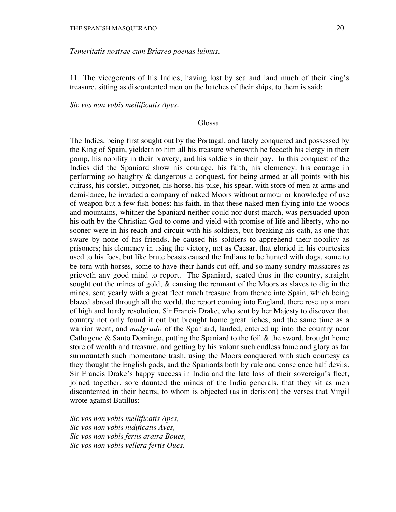## *Temeritatis nostrae cum Briareo poenas luimus.*

11. The vicegerents of his Indies, having lost by sea and land much of their king's treasure, sitting as discontented men on the hatches of their ships, to them is said:

\_\_\_\_\_\_\_\_\_\_\_\_\_\_\_\_\_\_\_\_\_\_\_\_\_\_\_\_\_\_\_\_\_\_\_\_\_\_\_\_\_\_\_\_\_\_\_\_\_\_\_\_\_\_\_\_\_\_\_\_\_\_\_\_\_\_\_\_\_\_\_\_

*Sic vos non vobis mellificatis Apes.*

### Glossa.

The Indies, being first sought out by the Portugal, and lately conquered and possessed by the King of Spain, yieldeth to him all his treasure wherewith he feedeth his clergy in their pomp, his nobility in their bravery, and his soldiers in their pay. In this conquest of the Indies did the Spaniard show his courage, his faith, his clemency: his courage in performing so haughty & dangerous a conquest, for being armed at all points with his cuirass, his corslet, burgonet, his horse, his pike, his spear, with store of men-at-arms and demi-lance, he invaded a company of naked Moors without armour or knowledge of use of weapon but a few fish bones; his faith, in that these naked men flying into the woods and mountains, whither the Spaniard neither could nor durst march, was persuaded upon his oath by the Christian God to come and yield with promise of life and liberty, who no sooner were in his reach and circuit with his soldiers, but breaking his oath, as one that sware by none of his friends, he caused his soldiers to apprehend their nobility as prisoners; his clemency in using the victory, not as Caesar, that gloried in his courtesies used to his foes, but like brute beasts caused the Indians to be hunted with dogs, some to be torn with horses, some to have their hands cut off, and so many sundry massacres as grieveth any good mind to report. The Spaniard, seated thus in the country, straight sought out the mines of gold,  $\&$  causing the remnant of the Moors as slaves to dig in the mines, sent yearly with a great fleet much treasure from thence into Spain, which being blazed abroad through all the world, the report coming into England, there rose up a man of high and hardy resolution, Sir Francis Drake, who sent by her Majesty to discover that country not only found it out but brought home great riches, and the same time as a warrior went, and *malgrado* of the Spaniard, landed, entered up into the country near Cathagene  $\&$  Santo Domingo, putting the Spaniard to the foil  $\&$  the sword, brought home store of wealth and treasure, and getting by his valour such endless fame and glory as far surmounteth such momentane trash, using the Moors conquered with such courtesy as they thought the English gods, and the Spaniards both by rule and conscience half devils. Sir Francis Drake's happy success in India and the late loss of their sovereign's fleet, joined together, sore daunted the minds of the India generals, that they sit as men discontented in their hearts, to whom is objected (as in derision) the verses that Virgil wrote against Batillus:

*Sic vos non vobis mellificatis Apes, Sic vos non vobis nidificatis Aves, Sic vos non vobis fertis aratra Boues, Sic vos non vobis vellera fertis Oues.*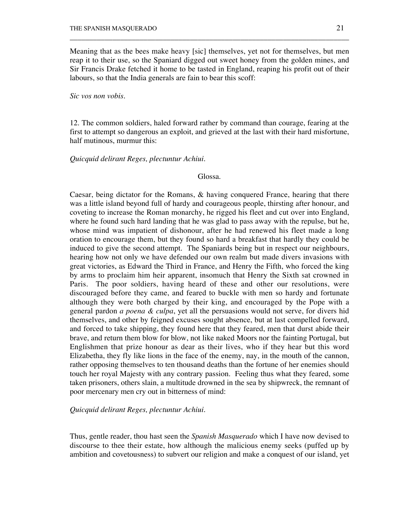Meaning that as the bees make heavy [sic] themselves, yet not for themselves, but men reap it to their use, so the Spaniard digged out sweet honey from the golden mines, and Sir Francis Drake fetched it home to be tasted in England, reaping his profit out of their labours, so that the India generals are fain to bear this scoff:

\_\_\_\_\_\_\_\_\_\_\_\_\_\_\_\_\_\_\_\_\_\_\_\_\_\_\_\_\_\_\_\_\_\_\_\_\_\_\_\_\_\_\_\_\_\_\_\_\_\_\_\_\_\_\_\_\_\_\_\_\_\_\_\_\_\_\_\_\_\_\_\_

*Sic vos non vobis.*

12. The common soldiers, haled forward rather by command than courage, fearing at the first to attempt so dangerous an exploit, and grieved at the last with their hard misfortune, half mutinous, murmur this:

*Quicquid delirant Reges, plectuntur Achiui.*

### Glossa.

Caesar, being dictator for the Romans, & having conquered France, hearing that there was a little island beyond full of hardy and courageous people, thirsting after honour, and coveting to increase the Roman monarchy, he rigged his fleet and cut over into England, where he found such hard landing that he was glad to pass away with the repulse, but he, whose mind was impatient of dishonour, after he had renewed his fleet made a long oration to encourage them, but they found so hard a breakfast that hardly they could be induced to give the second attempt. The Spaniards being but in respect our neighbours, hearing how not only we have defended our own realm but made divers invasions with great victories, as Edward the Third in France, and Henry the Fifth, who forced the king by arms to proclaim him heir apparent, insomuch that Henry the Sixth sat crowned in Paris. The poor soldiers, having heard of these and other our resolutions, were discouraged before they came, and feared to buckle with men so hardy and fortunate although they were both charged by their king, and encouraged by the Pope with a general pardon *a poena & culpa*, yet all the persuasions would not serve, for divers hid themselves, and other by feigned excuses sought absence, but at last compelled forward, and forced to take shipping, they found here that they feared, men that durst abide their brave, and return them blow for blow, not like naked Moors nor the fainting Portugal, but Englishmen that prize honour as dear as their lives, who if they hear but this word Elizabetha, they fly like lions in the face of the enemy, nay, in the mouth of the cannon, rather opposing themselves to ten thousand deaths than the fortune of her enemies should touch her royal Majesty with any contrary passion. Feeling thus what they feared, some taken prisoners, others slain, a multitude drowned in the sea by shipwreck, the remnant of poor mercenary men cry out in bitterness of mind:

*Quicquid delirant Reges, plectuntur Achiui.*

Thus, gentle reader, thou hast seen the *Spanish Masquerado* which I have now devised to discourse to thee their estate, how although the malicious enemy seeks (puffed up by ambition and covetousness) to subvert our religion and make a conquest of our island, yet